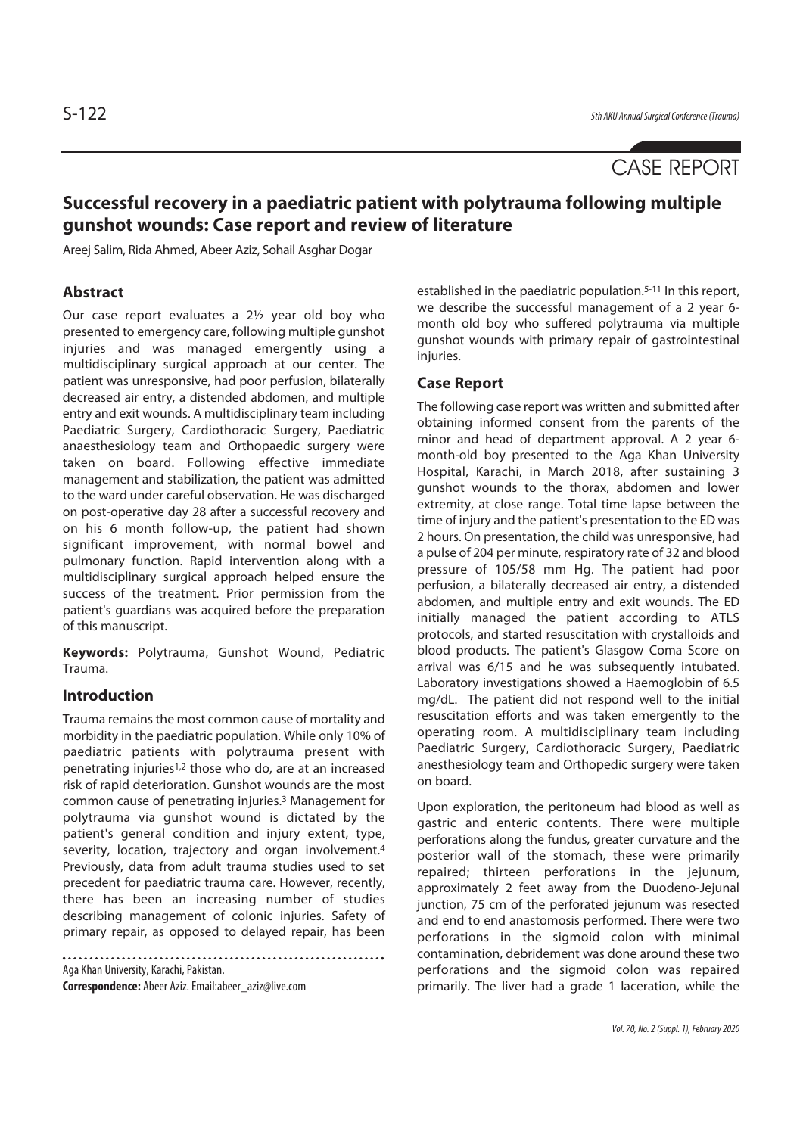# CASE REPORT

## **Successful recovery in a paediatric patient with polytrauma following multiple gunshot wounds: Case report and review of literature**

Areej Salim, Rida Ahmed, Abeer Aziz, Sohail Asghar Dogar

#### **Abstract**

Our case report evaluates a 2½ year old boy who presented to emergency care, following multiple gunshot injuries and was managed emergently using a multidisciplinary surgical approach at our center. The patient was unresponsive, had poor perfusion, bilaterally decreased air entry, a distended abdomen, and multiple entry and exit wounds. A multidisciplinary team including Paediatric Surgery, Cardiothoracic Surgery, Paediatric anaesthesiology team and Orthopaedic surgery were taken on board. Following effective immediate management and stabilization, the patient was admitted to the ward under careful observation. He was discharged on post-operative day 28 after a successful recovery and on his 6 month follow-up, the patient had shown significant improvement, with normal bowel and pulmonary function. Rapid intervention along with a multidisciplinary surgical approach helped ensure the success of the treatment. Prior permission from the patient's guardians was acquired before the preparation of this manuscript.

**Keywords:** Polytrauma, Gunshot Wound, Pediatric Trauma.

#### **Introduction**

Trauma remains the most common cause of mortality and morbidity in the paediatric population. While only 10% of paediatric patients with polytrauma present with penetrating injuries1,2 those who do, are at an increased risk of rapid deterioration. Gunshot wounds are the most common cause of penetrating injuries.3 Management for polytrauma via gunshot wound is dictated by the patient's general condition and injury extent, type, severity, location, trajectory and organ involvement.<sup>4</sup> Previously, data from adult trauma studies used to set precedent for paediatric trauma care. However, recently, there has been an increasing number of studies describing management of colonic injuries. Safety of primary repair, as opposed to delayed repair, has been

Aga Khan University, Karachi, Pakistan. **Correspondence:** Abeer Aziz. Email:abeer\_aziz@live.com

established in the paediatric population.<sup>5-11</sup> In this report, we describe the successful management of a 2 year 6 month old boy who suffered polytrauma via multiple gunshot wounds with primary repair of gastrointestinal injuries.

#### **Case Report**

The following case report was written and submitted after obtaining informed consent from the parents of the minor and head of department approval. A 2 year 6 month-old boy presented to the Aga Khan University Hospital, Karachi, in March 2018, after sustaining 3 gunshot wounds to the thorax, abdomen and lower extremity, at close range. Total time lapse between the time of injury and the patient's presentation to the ED was 2 hours. On presentation, the child was unresponsive, had a pulse of 204 per minute, respiratory rate of 32 and blood pressure of 105/58 mm Hg. The patient had poor perfusion, a bilaterally decreased air entry, a distended abdomen, and multiple entry and exit wounds. The ED initially managed the patient according to ATLS protocols, and started resuscitation with crystalloids and blood products. The patient's Glasgow Coma Score on arrival was 6/15 and he was subsequently intubated. Laboratory investigations showed a Haemoglobin of 6.5 mg/dL. The patient did not respond well to the initial resuscitation efforts and was taken emergently to the operating room. A multidisciplinary team including Paediatric Surgery, Cardiothoracic Surgery, Paediatric anesthesiology team and Orthopedic surgery were taken on board.

Upon exploration, the peritoneum had blood as well as gastric and enteric contents. There were multiple perforations along the fundus, greater curvature and the posterior wall of the stomach, these were primarily repaired; thirteen perforations in the jejunum, approximately 2 feet away from the Duodeno-Jejunal junction, 75 cm of the perforated jejunum was resected and end to end anastomosis performed. There were two perforations in the sigmoid colon with minimal contamination, debridement was done around these two perforations and the sigmoid colon was repaired primarily. The liver had a grade 1 laceration, while the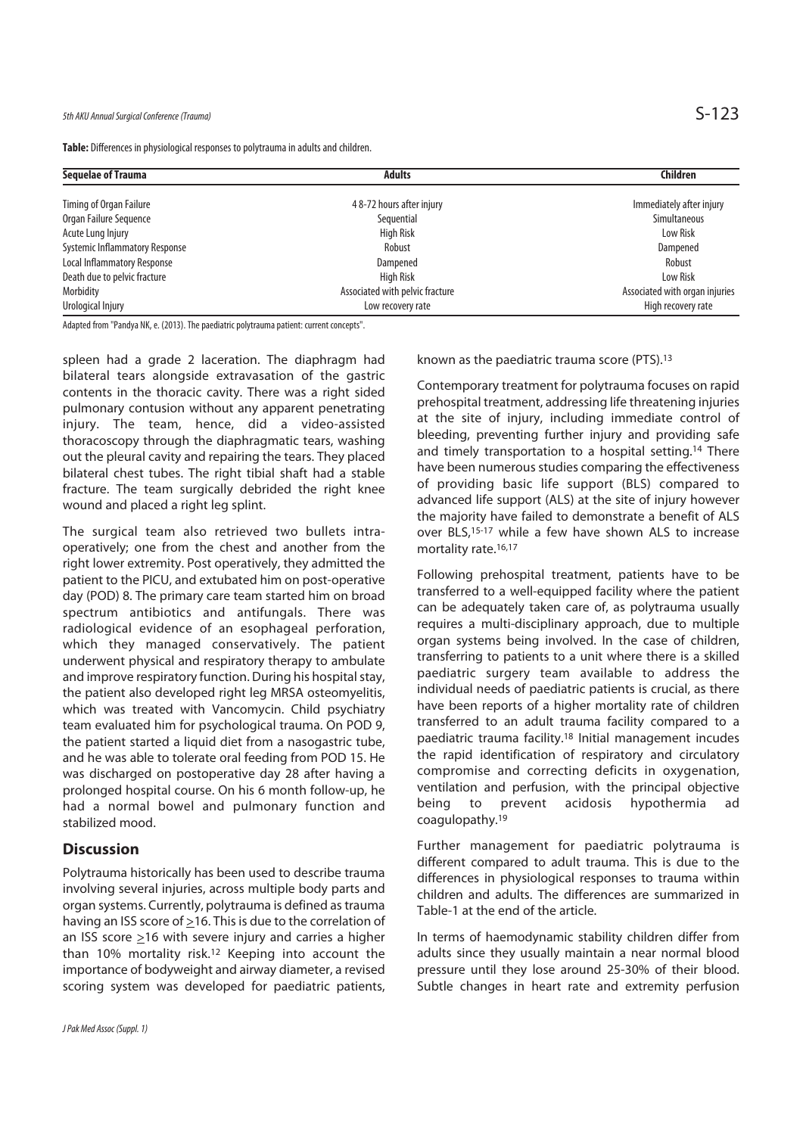**Table:** Differences in physiological responses to polytrauma in adults and children.

| <b>Sequelae of Trauma</b>             | <b>Adults</b>                   | Children                       |
|---------------------------------------|---------------------------------|--------------------------------|
| Timing of Organ Failure               | 48-72 hours after injury        | Immediately after injury       |
| Organ Failure Sequence                | Sequential                      | Simultaneous                   |
| Acute Lung Injury                     | <b>High Risk</b>                | Low Risk                       |
| <b>Systemic Inflammatory Response</b> | Robust                          | Dampened                       |
| Local Inflammatory Response           | Dampened                        | Robust                         |
| Death due to pelvic fracture          | <b>High Risk</b>                | Low Risk                       |
| Morbidity                             | Associated with pelvic fracture | Associated with organ injuries |
| Urological Injury                     | Low recovery rate               | High recovery rate             |

Adapted from "Pandya NK, e. (2013). The paediatric polytrauma patient: current concepts".

spleen had a grade 2 laceration. The diaphragm had bilateral tears alongside extravasation of the gastric contents in the thoracic cavity. There was a right sided pulmonary contusion without any apparent penetrating injury. The team, hence, did a video-assisted thoracoscopy through the diaphragmatic tears, washing out the pleural cavity and repairing the tears. They placed bilateral chest tubes. The right tibial shaft had a stable fracture. The team surgically debrided the right knee wound and placed a right leg splint.

The surgical team also retrieved two bullets intraoperatively; one from the chest and another from the right lower extremity. Post operatively, they admitted the patient to the PICU, and extubated him on post-operative day (POD) 8. The primary care team started him on broad spectrum antibiotics and antifungals. There was radiological evidence of an esophageal perforation, which they managed conservatively. The patient underwent physical and respiratory therapy to ambulate and improve respiratory function. During his hospital stay, the patient also developed right leg MRSA osteomyelitis, which was treated with Vancomycin. Child psychiatry team evaluated him for psychological trauma. On POD 9, the patient started a liquid diet from a nasogastric tube, and he was able to tolerate oral feeding from POD 15. He was discharged on postoperative day 28 after having a prolonged hospital course. On his 6 month follow-up, he had a normal bowel and pulmonary function and stabilized mood.

#### **Discussion**

Polytrauma historically has been used to describe trauma involving several injuries, across multiple body parts and organ systems. Currently, polytrauma is defined as trauma having an ISS score of  $\geq$ 16. This is due to the correlation of an ISS score >16 with severe injury and carries a higher than 10% mortality risk.12 Keeping into account the importance of bodyweight and airway diameter, a revised scoring system was developed for paediatric patients, known as the paediatric trauma score (PTS).13

Contemporary treatment for polytrauma focuses on rapid prehospital treatment, addressing life threatening injuries at the site of injury, including immediate control of bleeding, preventing further injury and providing safe and timely transportation to a hospital setting.<sup>14</sup> There have been numerous studies comparing the effectiveness of providing basic life support (BLS) compared to advanced life support (ALS) at the site of injury however the majority have failed to demonstrate a benefit of ALS over BLS,15-17 while a few have shown ALS to increase mortality rate.<sup>16,17</sup>

Following prehospital treatment, patients have to be transferred to a well-equipped facility where the patient can be adequately taken care of, as polytrauma usually requires a multi-disciplinary approach, due to multiple organ systems being involved. In the case of children, transferring to patients to a unit where there is a skilled paediatric surgery team available to address the individual needs of paediatric patients is crucial, as there have been reports of a higher mortality rate of children transferred to an adult trauma facility compared to a paediatric trauma facility.18 Initial management incudes the rapid identification of respiratory and circulatory compromise and correcting deficits in oxygenation, ventilation and perfusion, with the principal objective being to prevent acidosis hypothermia ad coagulopathy.19

Further management for paediatric polytrauma is different compared to adult trauma. This is due to the differences in physiological responses to trauma within children and adults. The differences are summarized in Table-1 at the end of the article.

In terms of haemodynamic stability children differ from adults since they usually maintain a near normal blood pressure until they lose around 25-30% of their blood. Subtle changes in heart rate and extremity perfusion